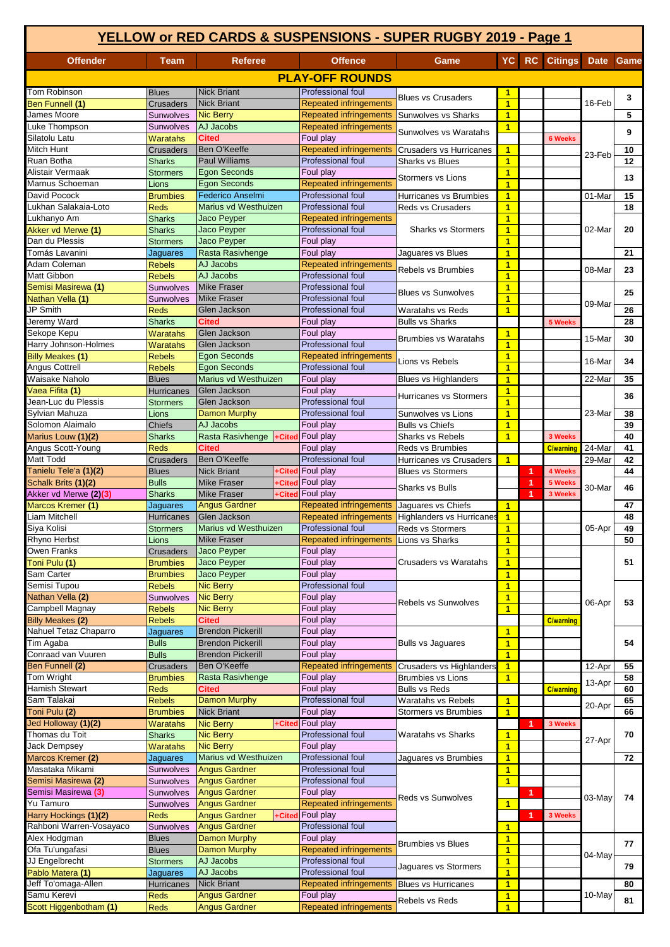| YELLOW or RED CARDS & SUSPENSIONS - SUPER RUGBY 2019 - Page 1 |                                                        |                                                                                                                  |                          |                                                     |                                                     |                                           |    |                  |                      |          |
|---------------------------------------------------------------|--------------------------------------------------------|------------------------------------------------------------------------------------------------------------------|--------------------------|-----------------------------------------------------|-----------------------------------------------------|-------------------------------------------|----|------------------|----------------------|----------|
| <b>Offender</b>                                               | Team                                                   | <b>Referee</b>                                                                                                   |                          | <b>Offence</b>                                      | Game                                                | YC<br><b>RC</b>                           |    | <b>Citings</b>   | Date                 | Game     |
|                                                               |                                                        |                                                                                                                  |                          | <b>PLAY-OFF ROUNDS</b>                              |                                                     |                                           |    |                  |                      |          |
| Tom Robinson                                                  | <b>Blues</b>                                           | <b>Nick Briant</b>                                                                                               |                          | <b>Professional foul</b>                            |                                                     | $\mathbf{1}$                              |    |                  |                      |          |
| Ben Funnell (1)                                               | <b>Crusaders</b>                                       | <b>Nick Briant</b>                                                                                               |                          | <b>Repeated infringements</b>                       | <b>Blues vs Crusaders</b>                           | $\overline{1}$                            |    |                  | 16-Feb               | 3        |
| James Moore                                                   | Sunwolves                                              | <b>Nic Berry</b>                                                                                                 |                          | <b>Repeated infringements</b>                       | Sunwolves vs Sharks                                 | $\blacksquare$                            |    |                  |                      | 5        |
| uke Thompson<br>Silatolu Latu                                 | Sunwolves<br>Waratahs                                  | AJ Jacobs<br><b>Cited</b>                                                                                        |                          | <b>Repeated infringements</b><br>Foul play          | Sunwolves vs Waratahs                               | $\overline{1}$                            |    | <b>6 Weeks</b>   |                      | 9        |
| Mitch Hunt                                                    | <b>Crusaders</b>                                       | Ben O'Keeffe                                                                                                     |                          | <b>Repeated infringements</b>                       | <b>Crusaders vs Hurricanes</b>                      | $\mathbf{1}$                              |    |                  |                      | 10       |
| Ruan Botha                                                    | <b>Sharks</b>                                          | <b>Paul Williams</b>                                                                                             |                          | Professional foul                                   | <b>Sharks vs Blues</b>                              | $\overline{1}$                            |    |                  | 23-Feb               | 12       |
| Alistair Vermaak                                              | <b>Stormers</b>                                        | <b>Egon Seconds</b>                                                                                              |                          | Foul play                                           | Stormers vs Lions                                   | $\overline{\mathbf{1}}$                   |    |                  |                      | 13       |
| Marnus Schoeman<br>David Pocock                               | Lions<br><b>Brumbies</b>                               | <b>Egon Seconds</b><br>Federico Anselmi                                                                          |                          | <b>Repeated infringements</b><br>Professional foul  | Hurricanes vs Brumbies                              | $\overline{1}$<br>$\mathbf{1}$            |    |                  | 01-Mar               | 15       |
| Lukhan Salakaia-Loto                                          | <b>Reds</b>                                            | Marius vd Westhuizen                                                                                             |                          | Professional foul                                   | Reds vs Crusaders                                   | $\overline{1}$                            |    |                  |                      | 18       |
| Lukhanyo Am                                                   | <b>Sharks</b>                                          | Jaco Peyper                                                                                                      | Repeated infringements   |                                                     |                                                     | $\overline{1}$                            |    |                  |                      |          |
| Akker vd Merwe (1)                                            | <b>Sharks</b>                                          | <b>Jaco Peyper</b>                                                                                               | <b>Professional foul</b> |                                                     | <b>Sharks vs Stormers</b>                           | $\mathbf{1}$                              |    |                  | 02-Mar               | 20       |
| Dan du Plessis                                                | Stormers                                               | Jaco Peyper                                                                                                      |                          | Foul play                                           |                                                     | $\overline{1}$                            |    |                  |                      |          |
| Tomás Lavanini<br>Adam Coleman                                | Jaguares<br><b>Rebels</b>                              | Rasta Rasivhenge<br>AJ Jacobs                                                                                    |                          | Foul play<br><b>Repeated infringements</b>          | Jaquares vs Blues                                   | $\blacksquare$<br>$\mathbf{1}$            |    |                  |                      | 21       |
| Matt Gibbon                                                   | <b>Rebels</b>                                          | AJ Jacobs                                                                                                        |                          | Professional foul                                   | Rebels vs Brumbies                                  | $\overline{1}$                            |    |                  | 08-Mar               | 23       |
| Semisi Masirewa (1)                                           | Sunwolves                                              | <b>Mike Fraser</b>                                                                                               |                          | Professional foul                                   | <b>Blues vs Sunwolves</b>                           | $\overline{\mathbf{1}}$                   |    |                  |                      | 25       |
| Nathan Vella (1)                                              | Sunwolves                                              | <b>Mike Fraser</b>                                                                                               |                          | <b>Professional foul</b>                            |                                                     | $\overline{1}$                            |    |                  | 09-Mar               |          |
| JP Smith                                                      | <b>Reds</b>                                            | Glen Jackson                                                                                                     |                          | <b>Professional foul</b>                            | Waratahs vs Reds                                    | $\overline{1}$                            |    |                  |                      | 26       |
| Jeremy Ward<br>Sekope Kepu                                    | <b>Sharks</b><br><b>Waratahs</b>                       | Cited<br>Glen Jackson                                                                                            |                          | Foul play<br>Foul play                              | <b>Bulls vs Sharks</b>                              | $\mathbf{1}$                              |    | 5 Weeks          |                      | 28       |
| Harry Johnson-Holmes                                          | Waratahs                                               | Glen Jackson                                                                                                     |                          | <b>Professional foul</b>                            | <b>Brumbies vs Waratahs</b>                         | $\overline{\mathbf{1}}$                   |    |                  | 15-Mar               | 30       |
| Billy Meakes (1)                                              | <b>Rebels</b>                                          | <b>Egon Seconds</b>                                                                                              |                          | <b>Repeated infringements</b>                       | Lions vs Rebels                                     | $\mathbf{1}$                              |    |                  | 16-Mar               | 34       |
| Angus Cottrell                                                | <b>Rebels</b>                                          | <b>Egon Seconds</b>                                                                                              |                          | Professional foul                                   |                                                     | $\overline{1}$                            |    |                  |                      |          |
| Waisake Naholo                                                | <b>Blues</b>                                           | Marius vd Westhuizen                                                                                             |                          | Foul play                                           | <b>Blues vs Highlanders</b>                         | $\mathbf{1}$                              |    |                  | 22-Mar               | 35       |
| Vaea Fifita (1)<br>Jean-Luc du Plessis                        | Hurricanes<br>Stormers                                 | Glen Jackson<br>Glen Jackson                                                                                     |                          | Foul play<br><b>Professional foul</b>               | Hurricanes vs Stormers                              | $\overline{1}$<br>$\overline{\mathbf{1}}$ |    |                  |                      | 36       |
| Sylvian Mahuza                                                | Lions                                                  | <b>Damon Murphy</b>                                                                                              |                          | Professional foul                                   | Sunwolves vs Lions                                  |                                           |    |                  | 23-Mar               | 38       |
| Solomon Alaimalo                                              | <b>Chiefs</b>                                          | AJ Jacobs                                                                                                        |                          | Foul play                                           | <b>Bulls vs Chiefs</b>                              |                                           |    |                  |                      | 39       |
| Marius Louw (1)(2)                                            | Sharks                                                 | Rasta Rasivhenge                                                                                                 | +Cited                   | Foul play                                           | <b>Sharks vs Rebels</b>                             | $\overline{1}$                            |    | 3 Weeks          |                      | 40       |
| Angus Scott-Young                                             | Reds                                                   | <b>Cited</b>                                                                                                     |                          | Foul play                                           | Reds vs Brumbies                                    |                                           |    | <b>C/warning</b> | $\overline{2}$ 4-Mar | 41       |
| Matt Todd                                                     | <b>Crusaders</b>                                       | Ben O'Keeffe<br><b>Nick Briant</b>                                                                               |                          | <b>Professional foul</b><br><b>+Cited</b> Foul play | Hurricanes vs Crusaders<br><b>Blues vs Stormers</b> | $\overline{1}$                            | и  | 4 Weeks          | 29-Mar               | 42<br>44 |
| Tanielu Tele'a (1)(2)<br>Schalk Brits (1)(2)                  | <b>Blues</b><br><b>Bulls</b>                           | <b>Mike Fraser</b>                                                                                               | +Cited                   | <b>Foul play</b>                                    |                                                     |                                           | -1 | 5 Weeks          |                      |          |
| Akker vd Merwe (2)(3)                                         | <b>Sharks</b>                                          | <b>Mike Fraser</b>                                                                                               | +Cited                   | Foul play                                           | <b>Sharks vs Bulls</b>                              |                                           | 1  | 3 Weeks          | 30-Mar               | 46       |
| Marcos Kremer (1)                                             | Jaguares                                               | <b>Angus Gardner</b>                                                                                             |                          | <b>Repeated infringements</b>                       | Jaguares vs Chiefs                                  | $\blacktriangleleft$                      |    |                  |                      | 47       |
| Liam Mitchell                                                 | <b>Hurricanes</b>                                      | Glen Jackson                                                                                                     |                          | <b>Repeated infringements</b>                       | Highlanders vs Hurricanes                           | $\mathbf{1}$                              |    |                  |                      | 48       |
| Siya Kolisi<br>Rhyno Herbst                                   | <b>Stormers</b><br>Lions                               | Marius vd Westhuizen<br><b>Mike Fraser</b>                                                                       |                          | Professional foul<br><b>Repeated infringements</b>  | Reds vs Stormers<br>Lions vs Sharks                 | $\blacksquare$<br>$\overline{1}$          |    |                  | 05-Apr               | 49<br>50 |
| Owen Franks                                                   | Crusaders                                              | Jaco Peyper                                                                                                      |                          | Foul play                                           |                                                     | $\overline{1}$                            |    |                  |                      |          |
| Toni Pulu (1)                                                 | <b>Brumbies</b>                                        | Jaco Peyper                                                                                                      |                          | Foul play                                           | Crusaders vs Waratahs                               | $\overline{\mathbf{1}}$                   |    |                  |                      | 51       |
| Sam Carter                                                    | <b>Brumbies</b>                                        | Jaco Peyper                                                                                                      |                          | Foul play                                           |                                                     | $\blacksquare$                            |    |                  |                      |          |
| Semisi Tupou                                                  | Professional foul<br><b>Nic Berry</b><br><b>Rebels</b> |                                                                                                                  |                          |                                                     | $\overline{\mathbf{1}}$                             |                                           |    |                  |                      |          |
| Nathan Vella (2)<br>Campbell Magnay                           | Sunwolves<br><b>Rebels</b>                             | <b>Nic Berry</b><br><b>Nic Berry</b>                                                                             |                          | Foul play<br>Foul play                              | Rebels vs Sunwolves                                 | $\overline{\mathbf{1}}$<br>$\overline{1}$ |    |                  | 06-Apr               | 53       |
| <b>Billy Meakes (2)</b>                                       | Rebels                                                 | <b>Cited</b>                                                                                                     |                          | Foul play                                           |                                                     |                                           |    | <b>C/warning</b> |                      |          |
| Nahuel Tetaz Chaparro                                         | Jaguares                                               | <b>Brendon Pickerill</b>                                                                                         |                          | Foul play                                           |                                                     | $\overline{\mathbf{1}}$                   |    |                  |                      |          |
| Tim Agaba                                                     | <b>Bulls</b>                                           | <b>Brendon Pickerill</b>                                                                                         |                          | Foul play                                           | <b>Bulls vs Jaguares</b>                            | $\overline{1}$                            |    |                  |                      | 54       |
| Conraad van Vuuren                                            | <b>Bulls</b>                                           | <b>Brendon Pickerill</b>                                                                                         |                          | Foul play                                           |                                                     | $\overline{1}$                            |    |                  |                      |          |
| Ben Funnell (2)<br>Tom Wright                                 | Crusaders<br><b>Brumbies</b>                           | Ben O'Keeffe<br>Rasta Rasivhenge                                                                                 |                          | <b>Repeated infringements</b><br>Foul play          | Crusaders vs Highlanders<br>Brumbies vs Lions       | $\mathbf{1}$<br>$\overline{1}$            |    |                  | 12-Apr               | 55<br>58 |
| Hamish Stewart                                                | Reds                                                   | Cited                                                                                                            |                          | Foul play                                           | <b>Bulls vs Reds</b>                                |                                           |    | <b>C/warning</b> | 13-Apr               | 60       |
| Sam Talakai                                                   | <b>Rebels</b>                                          | <b>Damon Murphy</b>                                                                                              |                          | <b>Professional foul</b>                            | Waratahs vs Rebels                                  | $\mathbf{1}$                              |    |                  |                      | 65       |
| Toni Pulu (2)                                                 | <b>Brumbies</b>                                        | <b>Nick Briant</b>                                                                                               |                          | Foul play                                           | Stormers vs Brumbies                                | $\overline{1}$                            |    |                  | 20-Apr               | 66       |
| Jed Holloway (1)(2)                                           | Waratahs                                               | <b>Nic Berry</b>                                                                                                 | +Cited                   | Foul play                                           |                                                     |                                           | 1  | 3 Weeks          |                      |          |
| Thomas du Toit<br>Jack Dempsey                                | <b>Sharks</b><br>Waratahs                              | <b>Nic Berry</b><br><b>Nic Berry</b>                                                                             |                          | Professional foul<br>Foul play                      | Waratahs vs Sharks                                  | $\mathbf{1}$<br>$\mathbf{1}$              |    |                  | 27-Apr               | 70       |
| Marcos Kremer (2)                                             | Jaguares                                               | Marius vd Westhuizen                                                                                             |                          | Professional foul                                   | Jaguares vs Brumbies                                | $\overline{1}$                            |    |                  |                      | 72       |
| Masataka Mikami                                               | Sunwolves                                              | <b>Angus Gardner</b>                                                                                             |                          | Professional foul                                   |                                                     | $\mathbf{1}$                              |    |                  |                      |          |
| Semisi Masirewa (2)                                           | Sunwolves                                              | <b>Angus Gardner</b>                                                                                             |                          | Professional foul                                   |                                                     | $\mathbf{1}$                              |    |                  |                      |          |
| Semisi Masirewa (3)                                           | Sunwolves                                              | <b>Angus Gardner</b><br><b>Angus Gardner</b><br>+Cited Foul play<br><b>Angus Gardner</b><br><b>Angus Gardner</b> |                          | Foul play                                           | Reds vs Sunwolves                                   |                                           | 1  |                  | 03-May               | 74       |
| Yu Tamuro<br>Harry Hockings (1)(2)                            | Sunwolves<br><b>Reds</b>                               |                                                                                                                  |                          | <b>Repeated infringements</b>                       |                                                     | $\mathbf{1}$                              | 1  | 3 Weeks          |                      |          |
| Rahboni Warren-Vosayaco                                       | Sunwolves                                              |                                                                                                                  |                          | Professional foul                                   |                                                     | $\mathbf{1}$                              |    |                  |                      |          |
| Alex Hodgman                                                  | <b>Blues</b>                                           | <b>Damon Murphy</b>                                                                                              |                          | Foul play                                           | <b>Brumbies vs Blues</b>                            | $\mathbf{1}$                              |    |                  |                      | 77       |
| Ofa Tu'ungafasi                                               | <b>Blues</b>                                           | <b>Damon Murphy</b>                                                                                              |                          | <b>Repeated infringements</b>                       |                                                     | $\overline{\mathbf{1}}$                   |    |                  | 04-May               |          |
| JJ Engelbrecht                                                | <b>Stormers</b>                                        | AJ Jacobs                                                                                                        |                          | Professional foul                                   | Jaguares vs Stormers                                | $\overline{\mathbf{1}}$                   |    |                  |                      | 79       |
| Pablo Matera (1)<br>Jeff To'omaga-Allen                       | Jaguares<br>Hurricanes                                 | AJ Jacobs<br><b>Nick Briant</b>                                                                                  |                          | Professional foul<br><b>Repeated infringements</b>  | <b>Blues vs Hurricanes</b>                          | $\overline{1}$<br>$\mathbf{1}$            |    |                  |                      | 80       |
| Samu Kerevi                                                   | Reds                                                   | <b>Angus Gardner</b>                                                                                             |                          | Foul play                                           |                                                     | $\mathbf{1}$                              |    |                  | 10-May               |          |
| Scott Higgenbotham (1)                                        | Reds                                                   | <b>Angus Gardner</b>                                                                                             |                          | <b>Repeated infringements</b>                       | Rebels vs Reds                                      | $\overline{1}$                            |    |                  |                      | 81       |